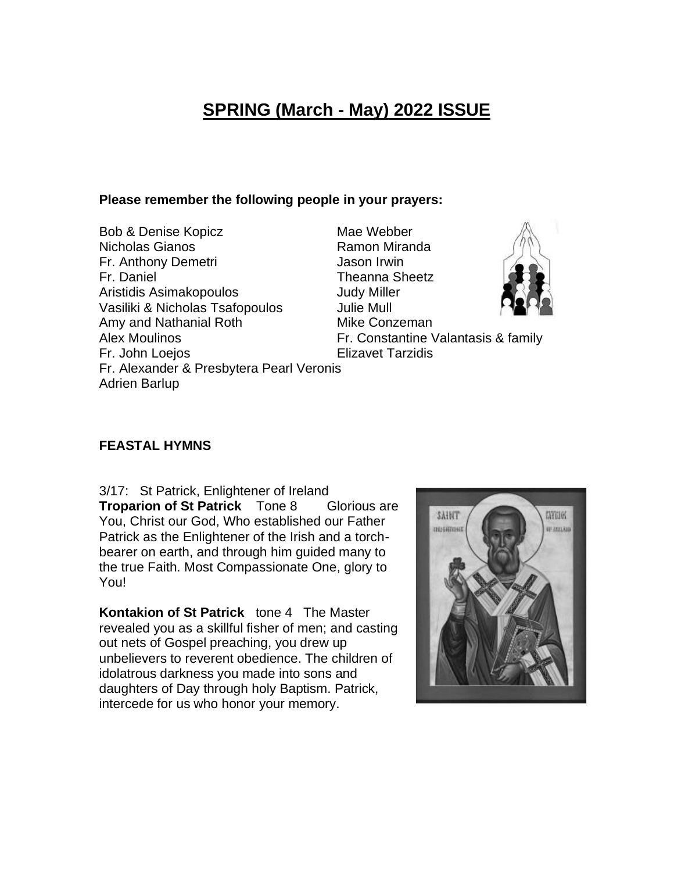# **SPRING (March - May) 2022 ISSUE**

#### **Please remember the following people in your prayers:**

Bob & Denise Kopicz Mae Webber Nicholas Gianos **Ramon Miranda** Fr. Anthony Demetri **International Contract Contract Anti-** Jason Irwin Fr. Daniel Theanna Sheetz Aristidis Asimakopoulos **Aristidis** Asimakopoulos Vasiliki & Nicholas Tsafopoulos Julie Mull Amy and Nathanial Roth Mike Conzeman Alex Moulinos **Fr. Constantine Valantasis & family** Fr. John Loejos **Elizavet Tarzidis** Fr. Alexander & Presbytera Pearl Veronis Adrien Barlup

### **FEASTAL HYMNS**

3/17: St Patrick, Enlightener of Ireland **Troparion of St Patrick** Tone 8 Glorious are You, Christ our God, Who established our Father Patrick as the Enlightener of the Irish and a torchbearer on earth, and through him guided many to the true Faith. Most Compassionate One, glory to You!

**Kontakion of St Patrick** tone 4 The Master revealed you as a skillful fisher of men; and casting out nets of Gospel preaching, you drew up unbelievers to reverent obedience. The children of idolatrous darkness you made into sons and daughters of Day through holy Baptism. Patrick, intercede for us who honor your memory.

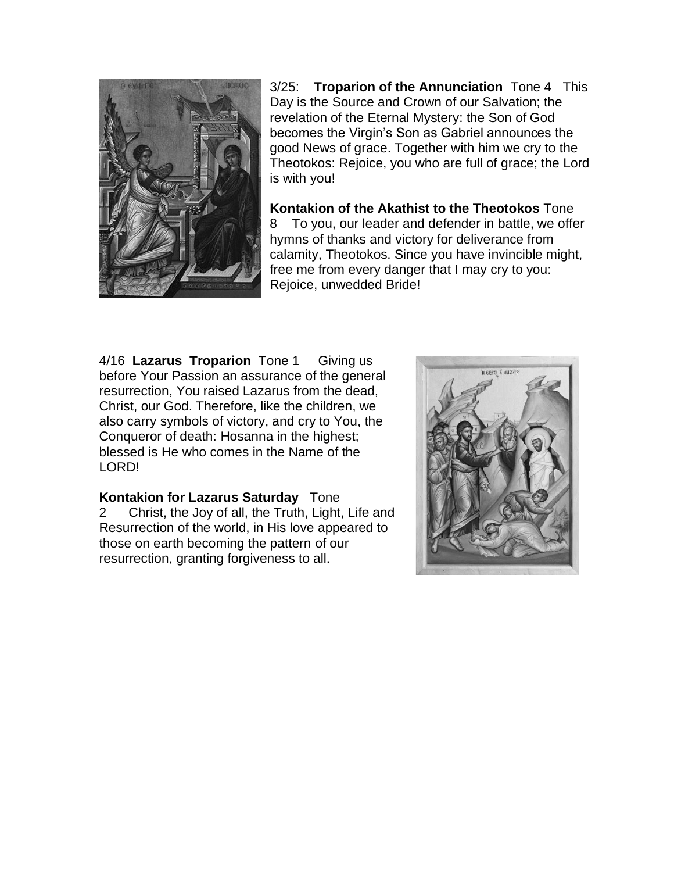

3/25: **Troparion of the Annunciation** Tone 4 This Day is the Source and Crown of our Salvation; the revelation of the Eternal Mystery: the Son of God becomes the Virgin's Son as Gabriel announces the good News of grace. Together with him we cry to the Theotokos: Rejoice, you who are full of grace; the Lord is with you!

**Kontakion of the Akathist to the Theotokos** Tone 8 To you, our leader and defender in battle, we offer hymns of thanks and victory for deliverance from calamity, Theotokos. Since you have invincible might, free me from every danger that I may cry to you: Rejoice, unwedded Bride!

4/16 **Lazarus Troparion** Tone 1 Giving us before Your Passion an assurance of the general resurrection, You raised Lazarus from the dead, Christ, our God. Therefore, like the children, we also carry symbols of victory, and cry to You, the Conqueror of death: Hosanna in the highest; blessed is He who comes in the Name of the LORD!

**Kontakion for Lazarus Saturday** Tone 2 Christ, the Joy of all, the Truth, Light, Life and Resurrection of the world, in His love appeared to those on earth becoming the pattern of our resurrection, granting forgiveness to all.

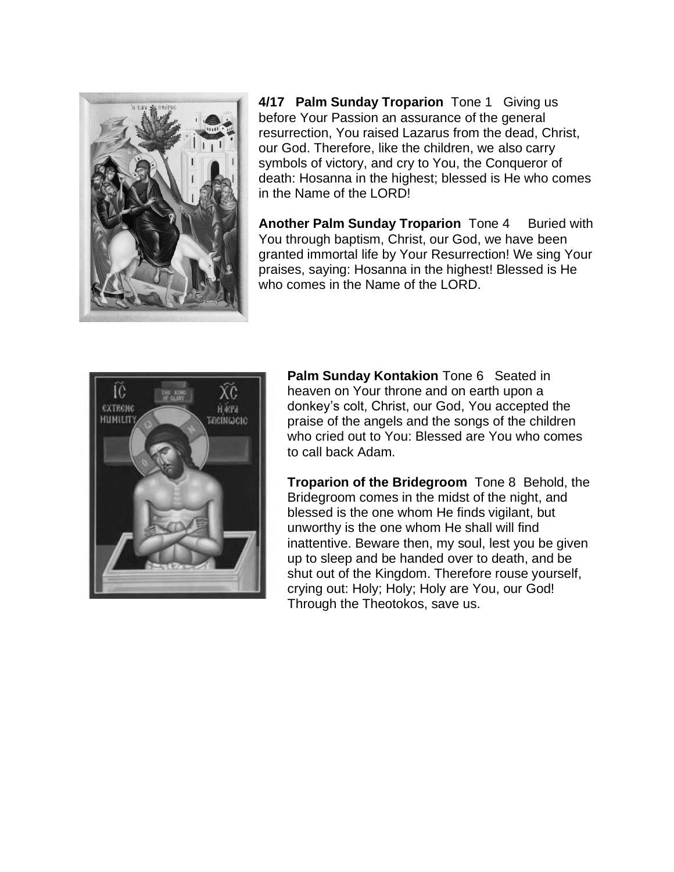

**4/17 Palm Sunday Troparion** Tone 1 Giving us before Your Passion an assurance of the general resurrection, You raised Lazarus from the dead, Christ, our God. Therefore, like the children, we also carry symbols of victory, and cry to You, the Conqueror of death: Hosanna in the highest; blessed is He who comes in the Name of the LORD!

**Another Palm Sunday Troparion** Tone 4 Buried with You through baptism, Christ, our God, we have been granted immortal life by Your Resurrection! We sing Your praises, saying: Hosanna in the highest! Blessed is He who comes in the Name of the LORD.



**Palm Sunday Kontakion** Tone 6 Seated in heaven on Your throne and on earth upon a donkey's colt, Christ, our God, You accepted the praise of the angels and the songs of the children who cried out to You: Blessed are You who comes to call back Adam.

**Troparion of the Bridegroom** Tone 8 Behold, the Bridegroom comes in the midst of the night, and blessed is the one whom He finds vigilant, but unworthy is the one whom He shall will find inattentive. Beware then, my soul, lest you be given up to sleep and be handed over to death, and be shut out of the Kingdom. Therefore rouse yourself, crying out: Holy; Holy; Holy are You, our God! Through the Theotokos, save us.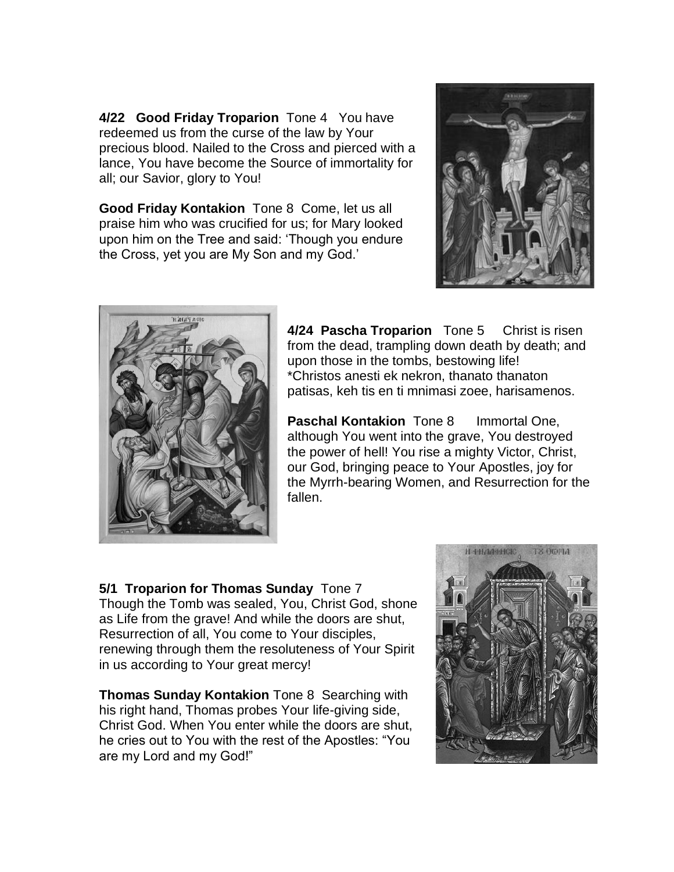**4/22 Good Friday Troparion** Tone 4You have redeemed us from the curse of the law by Your precious blood. Nailed to the Cross and pierced with a lance, You have become the Source of immortality for all; our Savior, glory to You!

**Good Friday Kontakion** Tone 8 Come, let us all praise him who was crucified for us; for Mary looked upon him on the Tree and said: 'Though you endure the Cross, yet you are My Son and my God.'





**4/24 Pascha Troparion** Tone 5 Christ is risen from the dead, trampling down death by death; and upon those in the tombs, bestowing life! \*Christos anesti ek nekron, thanato thanaton patisas, keh tis en ti mnimasi zoee, harisamenos.

**Paschal Kontakion** Tone 8 Immortal One. although You went into the grave, You destroyed the power of hell! You rise a mighty Victor, Christ, our God, bringing peace to Your Apostles, joy for the Myrrh-bearing Women, and Resurrection for the fallen.

**5/1 Troparion for Thomas Sunday** Tone 7 Though the Tomb was sealed, You, Christ God, shone as Life from the grave! And while the doors are shut, Resurrection of all, You come to Your disciples, renewing through them the resoluteness of Your Spirit in us according to Your great mercy!

**Thomas Sunday Kontakion** Tone 8 Searching with his right hand, Thomas probes Your life-giving side, Christ God. When You enter while the doors are shut, he cries out to You with the rest of the Apostles: "You are my Lord and my God!"

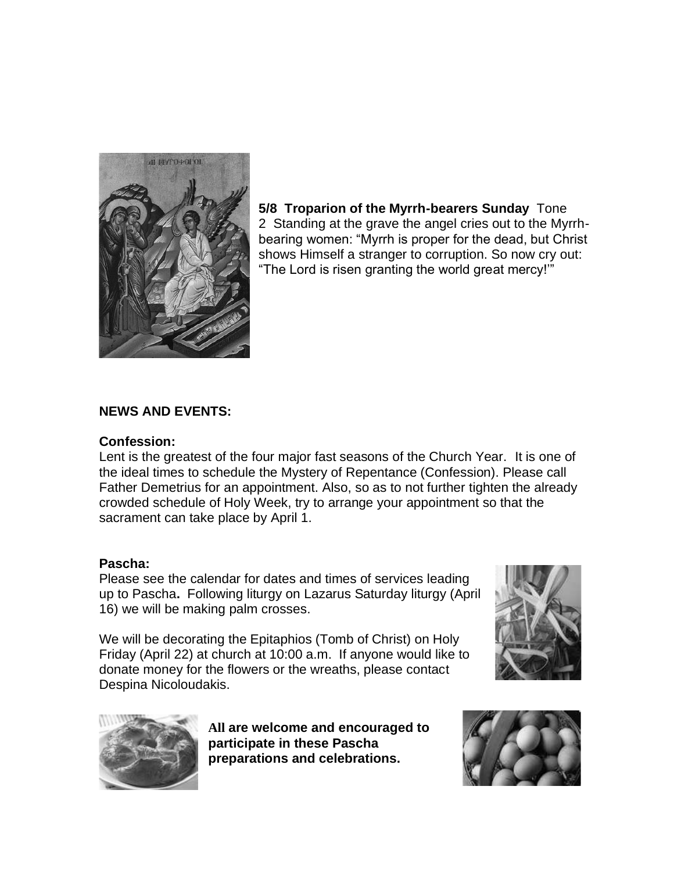

**5/8 Troparion of the Myrrh-bearers Sunday** Tone 2 Standing at the grave the angel cries out to the Myrrhbearing women: "Myrrh is proper for the dead, but Christ shows Himself a stranger to corruption. So now cry out: "The Lord is risen granting the world great mercy!'"

#### **NEWS AND EVENTS:**

#### **Confession:**

Lent is the greatest of the four major fast seasons of the Church Year. It is one of the ideal times to schedule the Mystery of Repentance (Confession). Please call Father Demetrius for an appointment. Also, so as to not further tighten the already crowded schedule of Holy Week, try to arrange your appointment so that the sacrament can take place by April 1.

#### **Pascha:**

Please see the calendar for dates and times of services leading up to Pascha**.** Following liturgy on Lazarus Saturday liturgy (April 16) we will be making palm crosses.

We will be decorating the Epitaphios (Tomb of Christ) on Holy Friday (April 22) at church at 10:00 a.m. If anyone would like to donate money for the flowers or the wreaths, please contact Despina Nicoloudakis.





**All are welcome and encouraged to participate in these Pascha preparations and celebrations.**

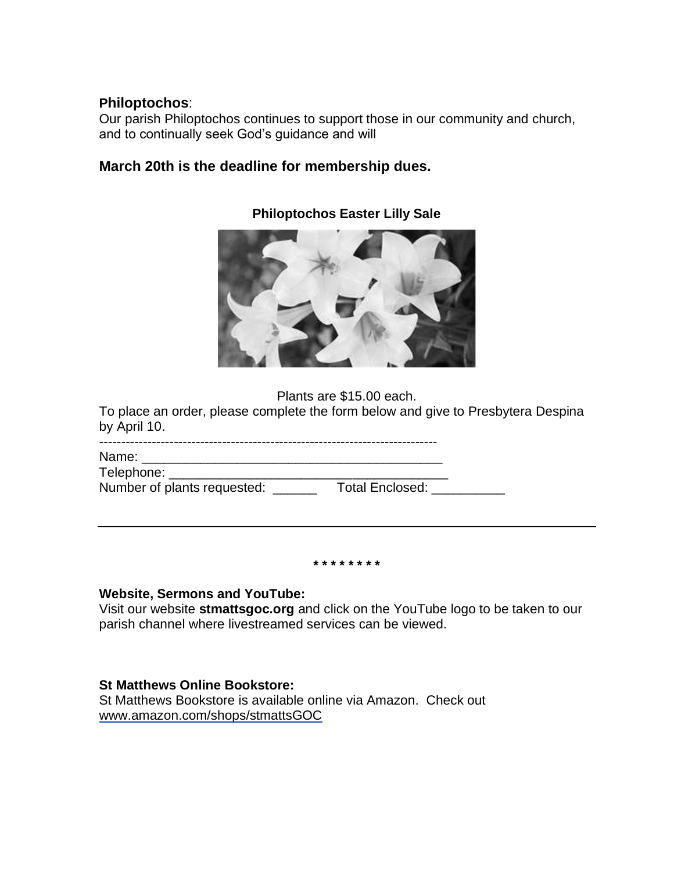#### **Philoptochos**:

Our parish Philoptochos continues to support those in our community and church, and to continually seek God's guidance and will

## **March 20th is the deadline for membership dues.**



### **Philoptochos Easter Lilly Sale**

Plants are \$15.00 each.

To place an order, please complete the form below and give to Presbytera Despina by April 10.

| Name:                                                                                                         |                 |  |
|---------------------------------------------------------------------------------------------------------------|-----------------|--|
| Telephone: National Accounts and Accounts and Accounts and Accounts are also as a series of the series of the |                 |  |
| Number of plants requested:                                                                                   | Total Enclosed: |  |
|                                                                                                               |                 |  |

**\* \* \* \* \* \* \* \***

#### **Website, Sermons and YouTube:**

Visit our website **stmattsgoc.org** and click on the YouTube logo to be taken to our parish channel where livestreamed services can be viewed.

#### **St Matthews Online Bookstore:**

St Matthews Bookstore is available online via Amazon. Check out [www.amazon.com/shops/stmattsGOC](http://www.amazon.com/shops/stmattsGOC)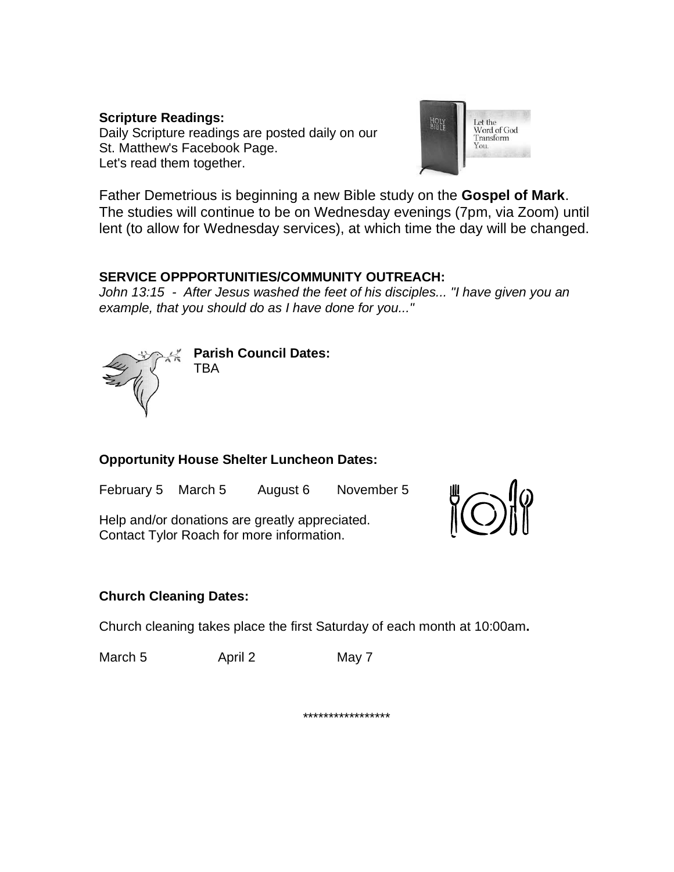#### **Scripture Readings:** Daily Scripture readings are posted daily on our [St. Matthew's Facebook Page.](https://stmattsgoc.us16.list-manage.com/track/click?u=7ac657ae7fab6be32edf3f532&id=cfaa9c4a5c&e=2a2a933d18) Let's read them together.



Father Demetrious is beginning a new Bible study on the **Gospel of Mark**. The studies will continue to be on Wednesday evenings (7pm, via Zoom) until lent (to allow for Wednesday services), at which time the day will be changed.

## **SERVICE OPPPORTUNITIES/COMMUNITY OUTREACH:**

*John 13:15 - After Jesus washed the feet of his disciples... "I have given you an example, that you should do as I have done for you..."*



**Parish Council Dates: TBA** 

# **Opportunity House Shelter Luncheon Dates:**

February 5 March 5 August 6 November 5

Help and/or donations are greatly appreciated. Contact Tylor Roach for more information.



# **Church Cleaning Dates:**

Church cleaning takes place the first Saturday of each month at 10:00am**.**

March 5 **April 2** May 7

\*\*\*\*\*\*\*\*\*\*\*\*\*\*\*\*\*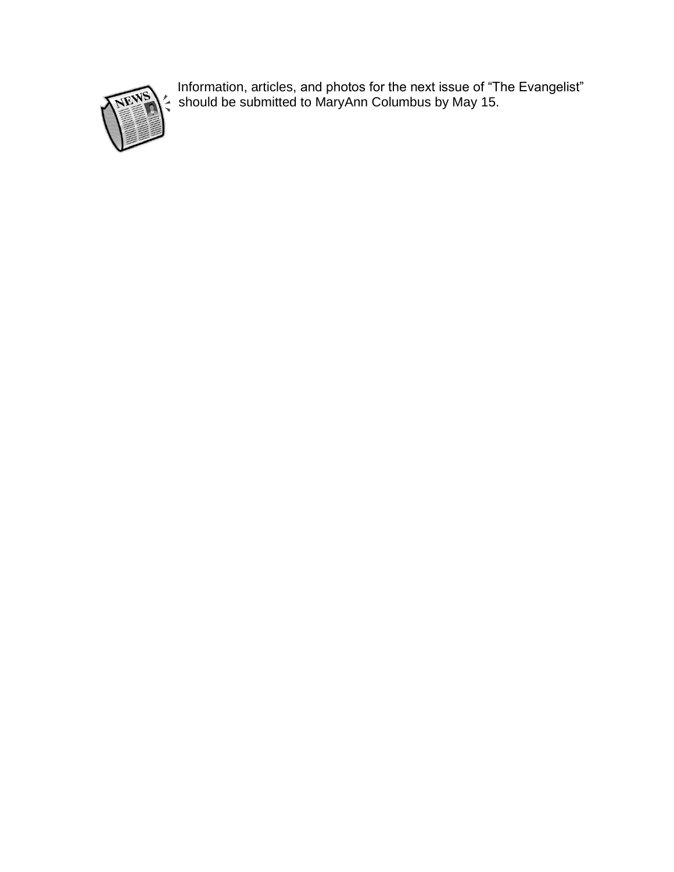

Information, articles, and photos for the next issue of "The Evangelist" should be submitted to MaryAnn Columbus by May 15.